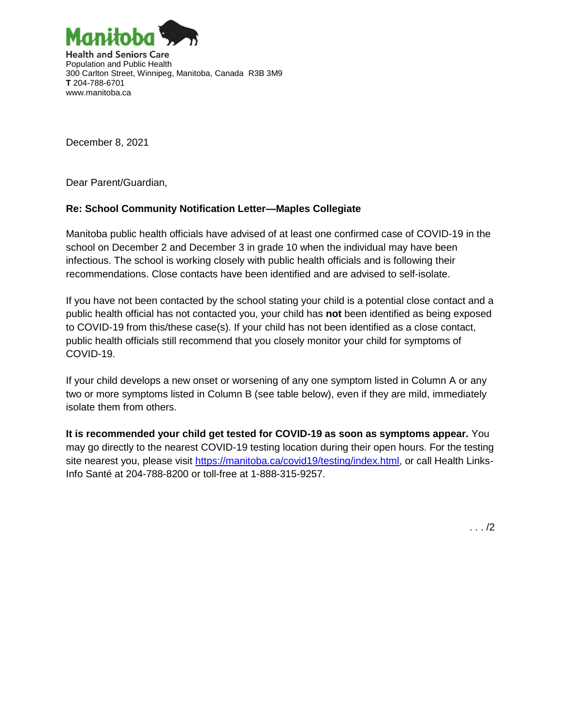

December 8, 2021

Dear Parent/Guardian,

## **Re: School Community Notification Letter—Maples Collegiate**

Manitoba public health officials have advised of at least one confirmed case of COVID-19 in the school on December 2 and December 3 in grade 10 when the individual may have been infectious. The school is working closely with public health officials and is following their recommendations. Close contacts have been identified and are advised to self-isolate.

If you have not been contacted by the school stating your child is a potential close contact and a public health official has not contacted you, your child has **not** been identified as being exposed to COVID-19 from this/these case(s). If your child has not been identified as a close contact, public health officials still recommend that you closely monitor your child for symptoms of COVID-19.

If your child develops a new onset or worsening of any one symptom listed in Column A or any two or more symptoms listed in Column B (see table below), even if they are mild, immediately isolate them from others.

**It is recommended your child get tested for COVID-19 as soon as symptoms appear.** You may go directly to the nearest COVID-19 testing location during their open hours. For the testing site nearest you, please visit [https://manitoba.ca/covid19/testing/index.html,](https://manitoba.ca/covid19/testing/index.html) or call Health Links-Info Santé at 204-788-8200 or toll-free at 1-888-315-9257.

. . . /2